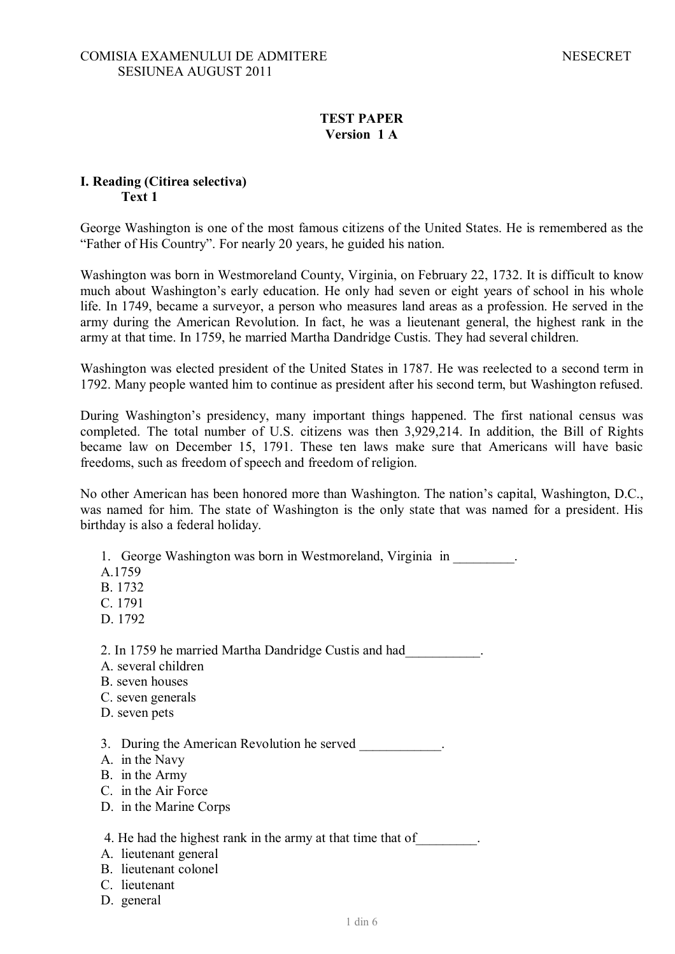## **TEST PAPER Version 1 A**

## **I. Reading (Citirea selectiva) Text 1**

George Washington is one of the most famous citizens of the United States. He is remembered as the "Father of His Country". For nearly 20 years, he guided his nation.

Washington was born in Westmoreland County, Virginia, on February 22, 1732. It is difficult to know much about Washington's early education. He only had seven or eight years of school in his whole life. In 1749, became a surveyor, a person who measures land areas as a profession. He served in the army during the American Revolution. In fact, he was a lieutenant general, the highest rank in the army at that time. In 1759, he married Martha Dandridge Custis. They had several children.

Washington was elected president of the United States in 1787. He was reelected to a second term in 1792. Many people wanted him to continue as president after his second term, but Washington refused.

During Washington's presidency, many important things happened. The first national census was completed. The total number of U.S. citizens was then 3,929,214. In addition, the Bill of Rights became law on December 15, 1791. These ten laws make sure that Americans will have basic freedoms, such as freedom of speech and freedom of religion.

No other American has been honored more than Washington. The nation's capital, Washington, D.C., was named for him. The state of Washington is the only state that was named for a president. His birthday is also a federal holiday.

1. George Washington was born in Westmoreland, Virginia in  $\blacksquare$ 

- A.1759
- B. 1732
- C. 1791
- D. 1792

2. In 1759 he married Martha Dandridge Custis and had\_\_\_\_\_\_\_\_\_\_\_.

- A. several children
- B. seven houses
- C. seven generals
- D. seven pets

3. During the American Revolution he served

- A. in the Navy
- B. in the Army
- C. in the Air Force
- D. in the Marine Corps

4. He had the highest rank in the army at that time that of

- A. lieutenant general
- B. lieutenant colonel
- C. lieutenant
- D. general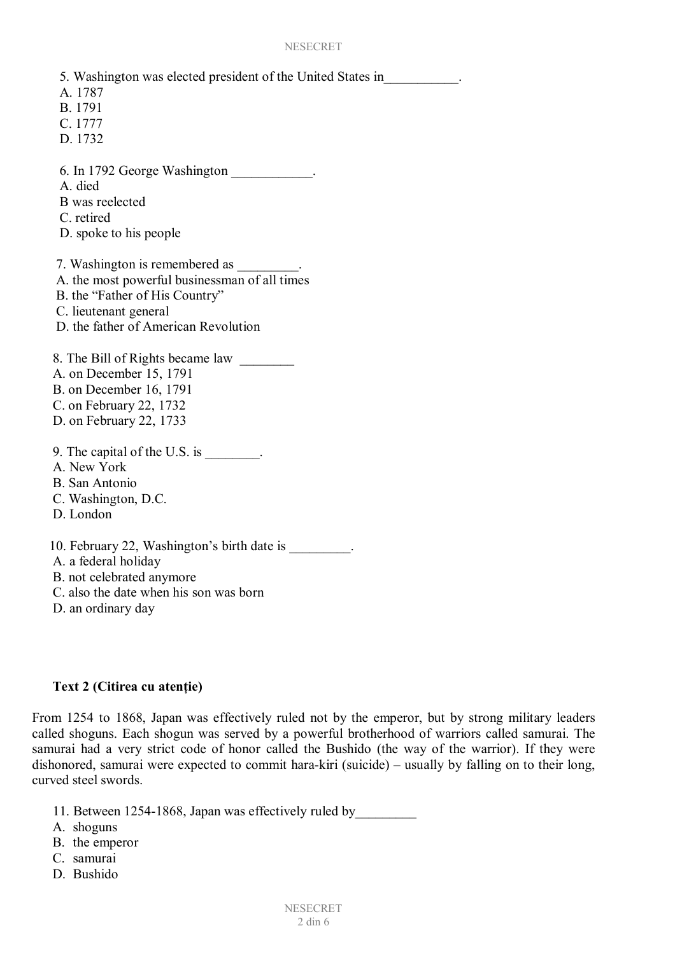5. Washington was elected president of the United States in\_\_\_\_\_\_\_\_\_\_\_.

- A. 1787
- B. 1791
- C. 1777
- D. 1732

6. In 1792 George Washington \_\_\_\_\_\_\_\_\_\_\_\_.

- A. died
- B was reelected
- C. retired
- D. spoke to his people
- 7. Washington is remembered as  $\qquad \qquad$ .
- A. the most powerful businessman of all times
- B. the "Father of His Country"
- C. lieutenant general
- D. the father of American Revolution
- 8. The Bill of Rights became law
- A. on December 15, 1791
- B. on December 16, 1791
- C. on February 22, 1732
- D. on February 22, 1733
- 9. The capital of the U.S. is
- A. New York
- B. San Antonio
- C. Washington, D.C.
- D. London
- 10. February 22, Washington's birth date is  $\qquad \qquad$
- A. a federal holiday
- B. not celebrated anymore
- C. also the date when his son was born
- D. an ordinary day

# Text 2 (Citirea cu atentie)

From 1254 to 1868, Japan was effectively ruled not by the emperor, but by strong military leaders called shoguns. Each shogun was served by a powerful brotherhood of warriors called samurai. The samurai had a very strict code of honor called the Bushido (the way of the warrior). If they were dishonored, samurai were expected to commit hara-kiri (suicide) – usually by falling on to their long, curved steel swords.

- 11. Between 1254-1868, Japan was effectively ruled by
- A. shoguns
- B. the emperor
- C. samurai
- D. Bushido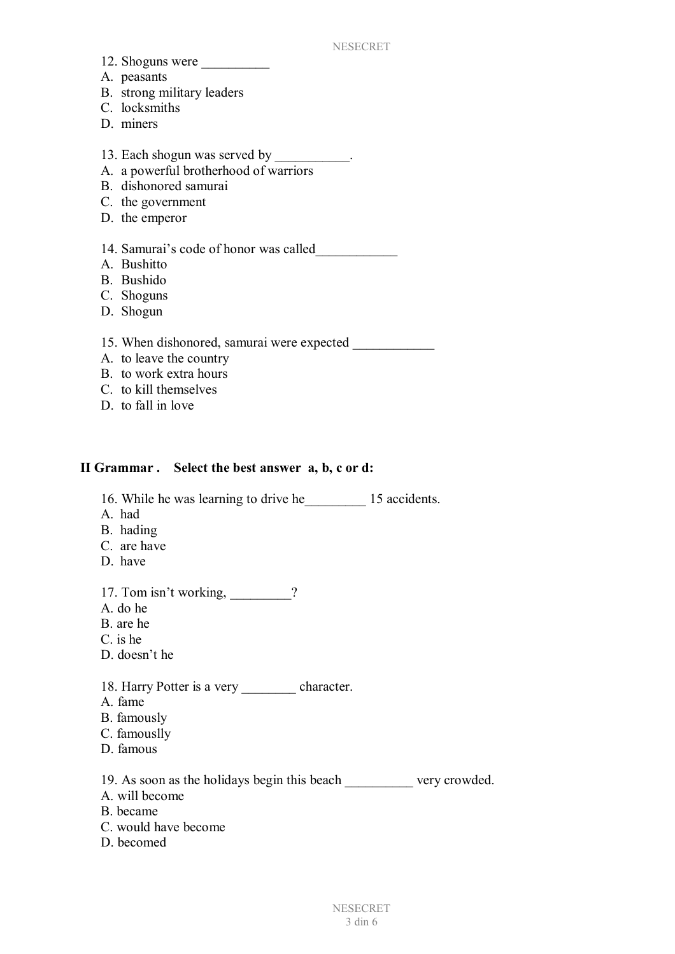- 12. Shoguns were
- A. peasants
- B. strong military leaders
- C. locksmiths
- D. miners
- 13. Each shogun was served by \_\_\_\_\_\_\_\_\_\_.
- A. a powerful brotherhood of warriors
- B. dishonored samurai
- C. the government
- D. the emperor
- 14. Samurai's code of honor was called\_\_\_\_\_\_\_\_\_\_\_\_
- A. Bushitto
- B. Bushido
- C. Shoguns
- D. Shogun

15. When dishonored, samurai were expected

- A. to leave the country
- B. to work extra hours
- C. to kill themselves
- D. to fall in love

#### **II Grammar . Select the best answer a, b, c or d:**

- 16. While he was learning to drive he\_\_\_\_\_\_\_\_\_ 15 accidents.
- A. had
- B. hading
- C. are have
- D. have
- 17. Tom isn't working, \_\_\_\_\_\_\_?
- A. do he
- B. are he
- C. is he
- D. doesn't he

18. Harry Potter is a very character.

- A. fame
- B. famously
- C. famouslly
- D. famous

19. As soon as the holidays begin this beach \_\_\_\_\_\_\_\_\_\_ very crowded.

- A. will become
- B. became
- C. would have become
- D. becomed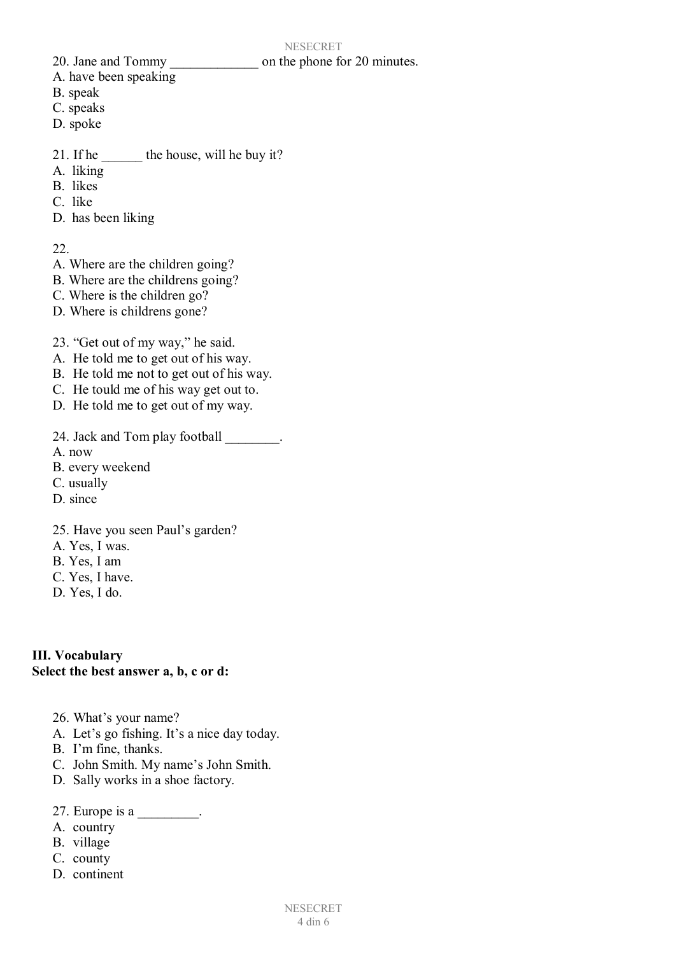20. Jane and Tommy on the phone for 20 minutes.

- A. have been speaking
- B. speak
- C. speaks
- D. spoke
- 21. If he the house, will he buy it?
- A. liking
- B. likes
- C. like
- D. has been liking

# 22.

- A. Where are the children going?
- B. Where are the childrens going?
- C. Where is the children go?
- D. Where is childrens gone?
- 23. "Get out of my way," he said.
- A. He told me to get out of his way.
- B. He told me not to get out of his way.
- C. He tould me of his way get out to.
- D. He told me to get out of my way.
- 24. Jack and Tom play football \_\_\_\_\_\_\_\_.
- A. now
- B. every weekend
- C. usually
- D. since
- 25. Have you seen Paul's garden?
- A. Yes, I was.
- B. Yes, I am
- C. Yes, I have.
- D. Yes, I do.

# **III. Vocabulary Select the best answer a, b, c or d:**

- 26. What's your name?
- A. Let's go fishing. It's a nice day today.
- B. I'm fine, thanks.
- C. John Smith. My name's John Smith.
- D. Sally works in a shoe factory.
- 27. Europe is a
- A. country
- B. village
- C. county
- D. continent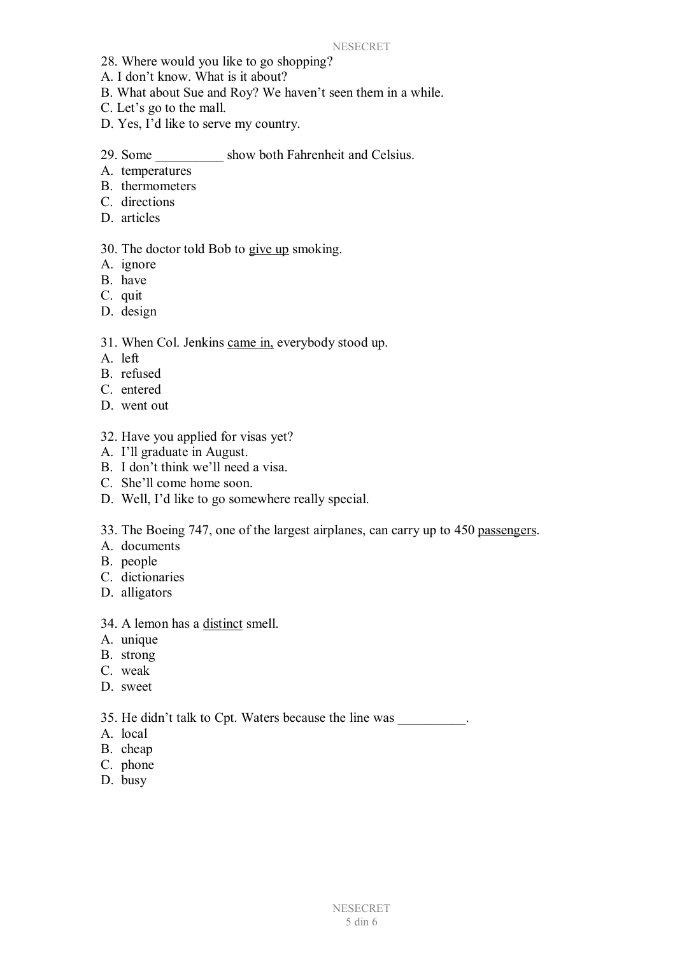- 28. Where would you like to go shopping?
- A. I don't know. What is it about?
- B. What about Sue and Roy? We haven't seen them in a while.
- C. Let's go to the mall.
- D. Yes, I'd like to serve my country.
- 29. Some show both Fahrenheit and Celsius.
- A. temperatures
- B. thermometers
- C. directions
- D. articles

#### 30. The doctor told Bob to give up smoking.

- A. ignore
- B. have
- C. quit
- D. design

#### 31. When Col. Jenkins came in, everybody stood up.

- A. left
- B. refused
- C. entered
- D. went out
- 32. Have you applied for visas yet?
- A. I'll graduate in August.
- B. I don't think we'll need a visa.
- C. She'll come home soon.
- D. Well, I'd like to go somewhere really special.
- 33. The Boeing 747, one of the largest airplanes, can carry up to 450 passengers.
- A. documents
- B. people
- C. dictionaries
- D. alligators
- 34. A lemon has a distinct smell.
- A. unique
- B. strong
- C. weak
- D. sweet

35. He didn't talk to Cpt. Waters because the line was \_\_\_\_\_\_\_\_\_\_.

- A. local
- B. cheap
- C. phone
- D. busy